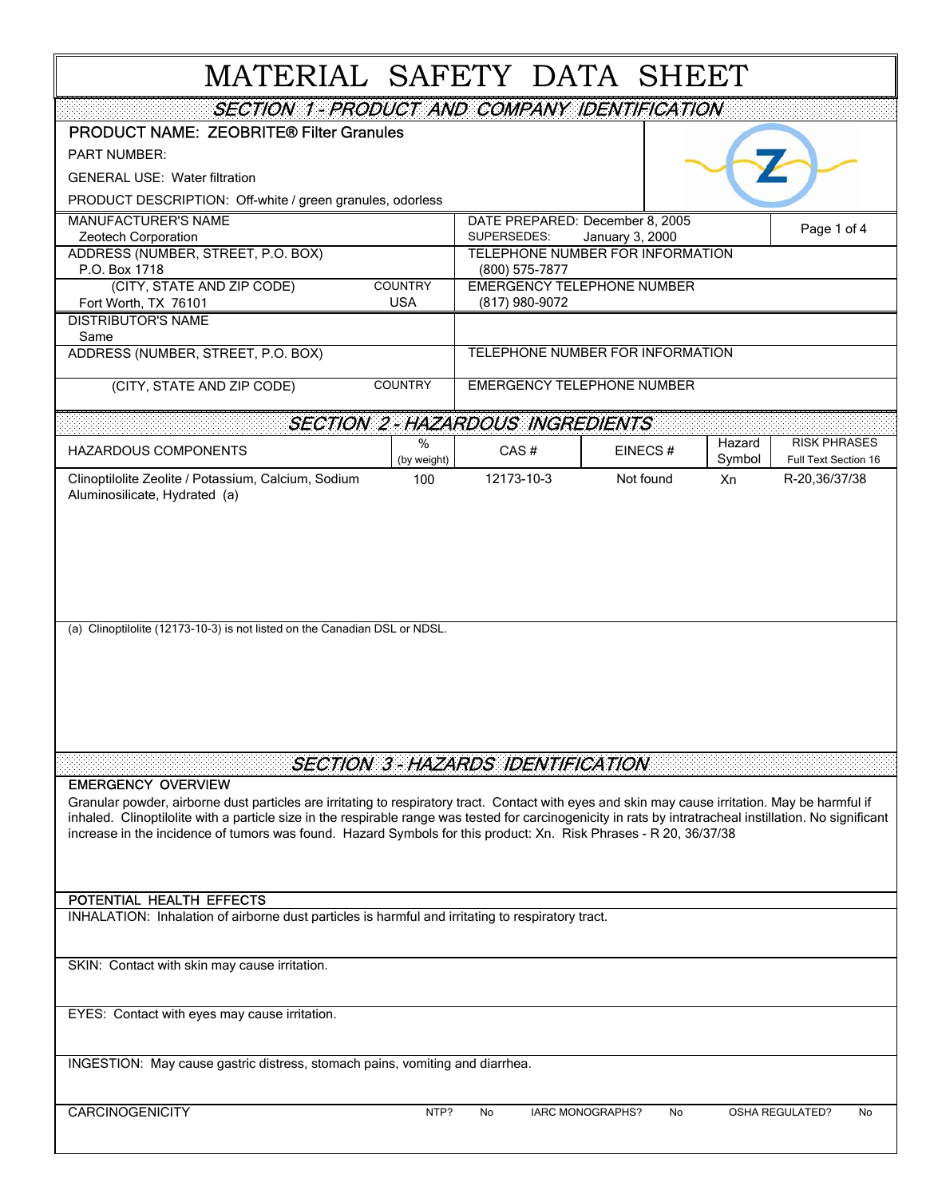## MATERIAL SAFETY DATA SHEET

| SECTION 1-PRODUCT AND COMPANY IDENTIFICATION                                                                                                                                                                                                                                   |                              |                                                     |                                  |                  |                                             |  |  |
|--------------------------------------------------------------------------------------------------------------------------------------------------------------------------------------------------------------------------------------------------------------------------------|------------------------------|-----------------------------------------------------|----------------------------------|------------------|---------------------------------------------|--|--|
| <b>PRODUCT NAME: ZEOBRITE® Filter Granules</b>                                                                                                                                                                                                                                 |                              |                                                     |                                  |                  |                                             |  |  |
| <b>PART NUMBER:</b>                                                                                                                                                                                                                                                            |                              |                                                     |                                  |                  |                                             |  |  |
| <b>GENERAL USE: Water filtration</b>                                                                                                                                                                                                                                           |                              |                                                     |                                  |                  |                                             |  |  |
| PRODUCT DESCRIPTION: Off-white / green granules, odorless                                                                                                                                                                                                                      |                              |                                                     |                                  |                  |                                             |  |  |
| <b>MANUFACTURER'S NAME</b><br>Zeotech Corporation                                                                                                                                                                                                                              |                              | DATE PREPARED: December 8, 2005<br>SUPERSEDES:      | January 3, 2000                  |                  | Page 1 of 4                                 |  |  |
| ADDRESS (NUMBER, STREET, P.O. BOX)                                                                                                                                                                                                                                             |                              | TELEPHONE NUMBER FOR INFORMATION                    |                                  |                  |                                             |  |  |
| P.O. Box 1718                                                                                                                                                                                                                                                                  |                              | (800) 575-7877                                      |                                  |                  |                                             |  |  |
| (CITY, STATE AND ZIP CODE)<br>Fort Worth, TX 76101                                                                                                                                                                                                                             | <b>COUNTRY</b><br><b>USA</b> | <b>EMERGENCY TELEPHONE NUMBER</b><br>(817) 980-9072 |                                  |                  |                                             |  |  |
| <b>DISTRIBUTOR'S NAME</b>                                                                                                                                                                                                                                                      |                              |                                                     |                                  |                  |                                             |  |  |
| Same                                                                                                                                                                                                                                                                           |                              |                                                     |                                  |                  |                                             |  |  |
| ADDRESS (NUMBER, STREET, P.O. BOX)                                                                                                                                                                                                                                             |                              |                                                     | TELEPHONE NUMBER FOR INFORMATION |                  |                                             |  |  |
| (CITY, STATE AND ZIP CODE)                                                                                                                                                                                                                                                     | <b>COUNTRY</b>               | <b>EMERGENCY TELEPHONE NUMBER</b>                   |                                  |                  |                                             |  |  |
|                                                                                                                                                                                                                                                                                |                              | <b>SECTION 2-HAZARDOUS INGREDIENTS</b>              |                                  |                  |                                             |  |  |
| <b>HAZARDOUS COMPONENTS</b>                                                                                                                                                                                                                                                    | ℅<br>(by weight)             | CAS#                                                | EINECS#                          | Hazard<br>Symbol | <b>RISK PHRASES</b><br>Full Text Section 16 |  |  |
| Clinoptilolite Zeolite / Potassium, Calcium, Sodium                                                                                                                                                                                                                            | 100                          | 12173-10-3                                          | Not found                        | Xn               | R-20,36/37/38                               |  |  |
| Aluminosilicate, Hydrated (a)                                                                                                                                                                                                                                                  |                              |                                                     |                                  |                  |                                             |  |  |
|                                                                                                                                                                                                                                                                                |                              |                                                     |                                  |                  |                                             |  |  |
|                                                                                                                                                                                                                                                                                |                              |                                                     |                                  |                  |                                             |  |  |
|                                                                                                                                                                                                                                                                                |                              |                                                     |                                  |                  |                                             |  |  |
|                                                                                                                                                                                                                                                                                |                              |                                                     |                                  |                  |                                             |  |  |
| (a) Clinoptilolite (12173-10-3) is not listed on the Canadian DSL or NDSL.                                                                                                                                                                                                     |                              |                                                     |                                  |                  |                                             |  |  |
|                                                                                                                                                                                                                                                                                |                              |                                                     |                                  |                  |                                             |  |  |
|                                                                                                                                                                                                                                                                                |                              |                                                     |                                  |                  |                                             |  |  |
|                                                                                                                                                                                                                                                                                |                              |                                                     |                                  |                  |                                             |  |  |
|                                                                                                                                                                                                                                                                                |                              |                                                     |                                  |                  |                                             |  |  |
|                                                                                                                                                                                                                                                                                |                              |                                                     |                                  |                  |                                             |  |  |
|                                                                                                                                                                                                                                                                                |                              | <b>SECTION 3-HAZARDS IDENTIFICATION</b>             |                                  |                  |                                             |  |  |
| <b>EMERGENCY OVERVIEW</b>                                                                                                                                                                                                                                                      |                              |                                                     |                                  |                  |                                             |  |  |
| Granular powder, airborne dust particles are irritating to respiratory tract. Contact with eyes and skin may cause irritation. May be harmful if                                                                                                                               |                              |                                                     |                                  |                  |                                             |  |  |
| inhaled. Clinoptilolite with a particle size in the respirable range was tested for carcinogenicity in rats by intratracheal instillation. No significant<br>increase in the incidence of tumors was found. Hazard Symbols for this product: Xn. Risk Phrases - R 20, 36/37/38 |                              |                                                     |                                  |                  |                                             |  |  |
|                                                                                                                                                                                                                                                                                |                              |                                                     |                                  |                  |                                             |  |  |
|                                                                                                                                                                                                                                                                                |                              |                                                     |                                  |                  |                                             |  |  |
| POTENTIAL HEALTH EFFECTS                                                                                                                                                                                                                                                       |                              |                                                     |                                  |                  |                                             |  |  |
| INHALATION: Inhalation of airborne dust particles is harmful and irritating to respiratory tract.                                                                                                                                                                              |                              |                                                     |                                  |                  |                                             |  |  |
|                                                                                                                                                                                                                                                                                |                              |                                                     |                                  |                  |                                             |  |  |
| SKIN: Contact with skin may cause irritation.                                                                                                                                                                                                                                  |                              |                                                     |                                  |                  |                                             |  |  |
|                                                                                                                                                                                                                                                                                |                              |                                                     |                                  |                  |                                             |  |  |
| EYES: Contact with eyes may cause irritation.                                                                                                                                                                                                                                  |                              |                                                     |                                  |                  |                                             |  |  |
|                                                                                                                                                                                                                                                                                |                              |                                                     |                                  |                  |                                             |  |  |
| INGESTION: May cause gastric distress, stomach pains, vomiting and diarrhea.                                                                                                                                                                                                   |                              |                                                     |                                  |                  |                                             |  |  |
|                                                                                                                                                                                                                                                                                |                              |                                                     |                                  |                  |                                             |  |  |
| <b>CARCINOGENICITY</b>                                                                                                                                                                                                                                                         | NTP?                         | No                                                  | IARC MONOGRAPHS?<br>No           |                  | OSHA REGULATED?<br>No                       |  |  |
|                                                                                                                                                                                                                                                                                |                              |                                                     |                                  |                  |                                             |  |  |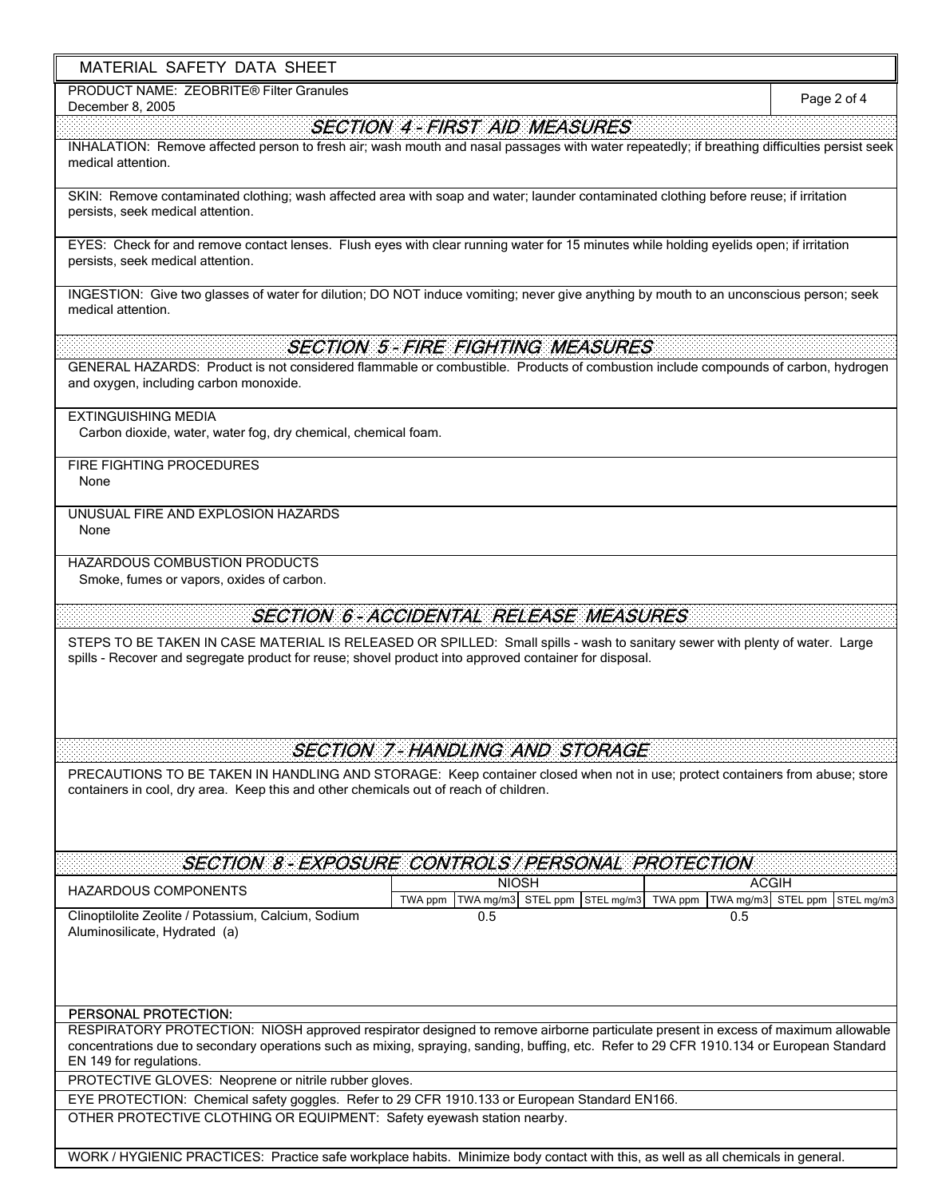## MATERIAL SAFETY DATA SHEET

PRODUCT NAME: ZEOBRITE® Filter Granules

## TWA ppm TWA mg/m3 STEL ppm STEL mg/m3 TWA ppm TWA mg/m3 STEL ppm STEL mg/m3 Clinoptilolite Zeolite / Potassium, Calcium, Sodium 0.5 0.5 Aluminosilicate, Hydrated (a) December 8, 2005 SECTION 5 - FIRE FIGHTING MEASURES SECTION 4 - FIRST AID MEASURES INHALATION: Remove affected person to fresh air; wash mouth and nasal passages with water repeatedly; if breathing difficulties persist seek medical attention. INGESTION: Give two glasses of water for dilution; DO NOT induce vomiting; never give anything by mouth to an unconscious person; seek medical attention. FIRE FIGHTING PROCEDURES UNUSUAL FIRE AND EXPLOSION HAZARDS None SECTION 7 - HANDLING AND STORAGE PRECAUTIONS TO BE TAKEN IN HANDLING AND STORAGE: Keep container closed when not in use; protect containers from abuse; store containers in cool, dry area. Keep this and other chemicals out of reach of children. Smoke, fumes or vapors, oxides of carbon. OTHER PROTECTIVE CLOTHING OR EQUIPMENT: Safety eyewash station nearby. RESPIRATORY PROTECTION: NIOSH approved respirator designed to remove airborne particulate present in excess of maximum allowable concentrations due to secondary operations such as mixing, spraying, sanding, buffing, etc. Refer to 29 CFR 1910.134 or European Standard EN 149 for regulations. SECTION 8 - EXPOSURE CONTROLS / PERSONAL PROTECTION SKIN: Remove contaminated clothing; wash affected area with soap and water; launder contaminated clothing before reuse; if irritation persists, seek medical attention. EYES: Check for and remove contact lenses. Flush eyes with clear running water for 15 minutes while holding eyelids open; if irritation persists, seek medical attention. Page 2 of 4 PERSONAL PROTECTION: SECTION 6 - ACCIDENTAL RELEASE MEASURES STEPS TO BE TAKEN IN CASE MATERIAL IS RELEASED OR SPILLED: Small spills - wash to sanitary sewer with plenty of water. Large spills - Recover and segregate product for reuse; shovel product into approved container for disposal. None HAZARDOUS COMPONENTS  $\begin{array}{|c|c|c|c|c|c|c|c|c|}\n\hline\n&\text{NIOSH} &\text{ACGIH}\n\hline\n\end{array}$ HAZARDOUS COMBUSTION PRODUCTS EYE PROTECTION: Chemical safety goggles. Refer to 29 CFR 1910.133 or European Standard EN166. PROTECTIVE GLOVES: Neoprene or nitrile rubber gloves. Carbon dioxide, water, water fog, dry chemical, chemical foam. GENERAL HAZARDS: Product is not considered flammable or combustible. Products of combustion include compounds of carbon, hydrogen and oxygen, including carbon monoxide. EXTINGUISHING MEDIA

WORK / HYGIENIC PRACTICES: Practice safe workplace habits. Minimize body contact with this, as well as all chemicals in general.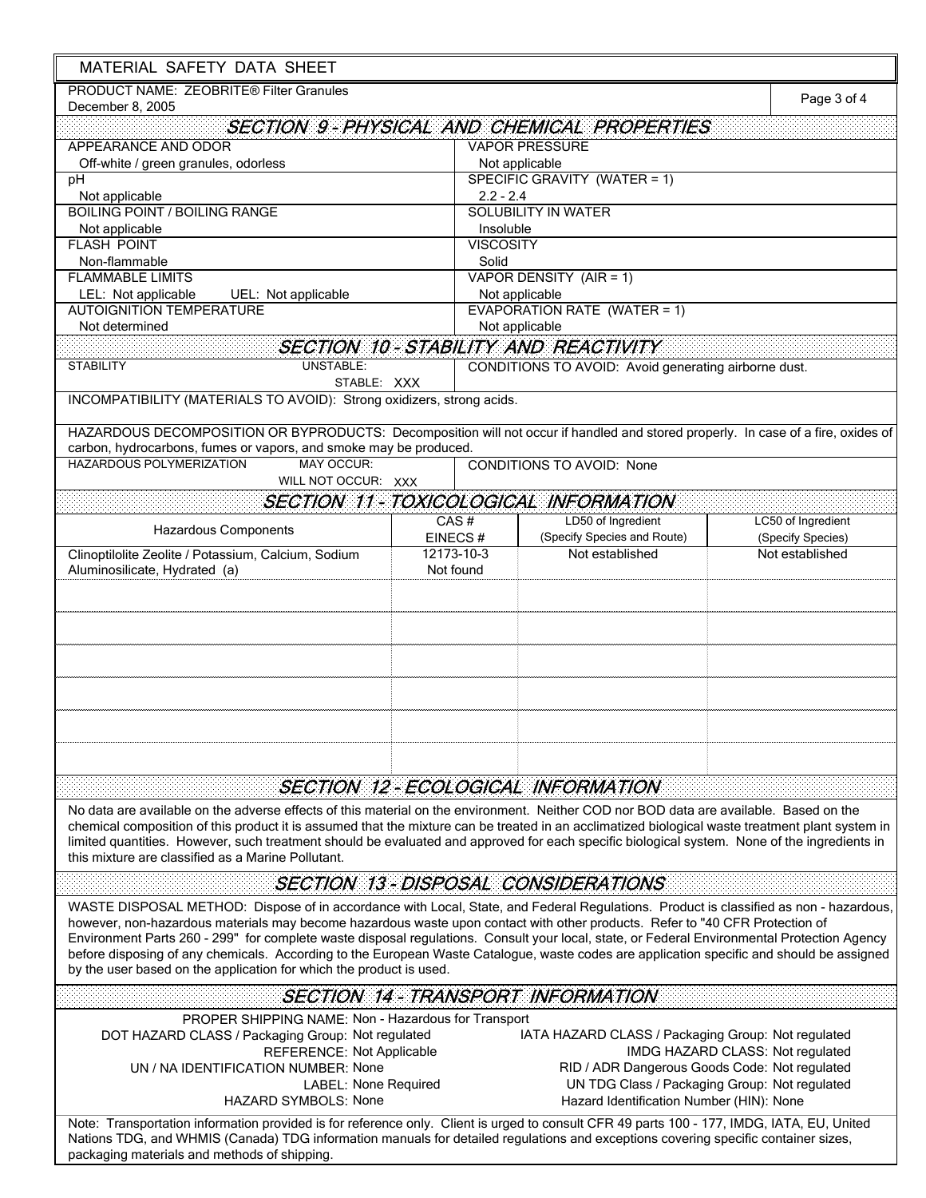| MATERIAL SAFETY DATA SHEET                                                                                                                                                                                                                                                                                                                                                                                                                                                                                                                                                                                                               |            |                                                                                           |                    |  |  |
|------------------------------------------------------------------------------------------------------------------------------------------------------------------------------------------------------------------------------------------------------------------------------------------------------------------------------------------------------------------------------------------------------------------------------------------------------------------------------------------------------------------------------------------------------------------------------------------------------------------------------------------|------------|-------------------------------------------------------------------------------------------|--------------------|--|--|
| PRODUCT NAME: ZEOBRITE® Filter Granules<br>December 8, 2005                                                                                                                                                                                                                                                                                                                                                                                                                                                                                                                                                                              |            |                                                                                           | Page 3 of 4        |  |  |
|                                                                                                                                                                                                                                                                                                                                                                                                                                                                                                                                                                                                                                          |            | <b>SECTION 9-PHYSICAL AND CHEMICAL PROPERTIES</b>                                         |                    |  |  |
| APPEARANCE AND ODOR                                                                                                                                                                                                                                                                                                                                                                                                                                                                                                                                                                                                                      |            | <b>VAPOR PRESSURE</b>                                                                     |                    |  |  |
| Off-white / green granules, odorless                                                                                                                                                                                                                                                                                                                                                                                                                                                                                                                                                                                                     |            | Not applicable                                                                            |                    |  |  |
| pH                                                                                                                                                                                                                                                                                                                                                                                                                                                                                                                                                                                                                                       |            | SPECIFIC GRAVITY (WATER = 1)                                                              |                    |  |  |
| Not applicable<br><b>BOILING POINT / BOILING RANGE</b>                                                                                                                                                                                                                                                                                                                                                                                                                                                                                                                                                                                   |            | $2.2 - 2.4$<br><b>SOLUBILITY IN WATER</b>                                                 |                    |  |  |
| Not applicable                                                                                                                                                                                                                                                                                                                                                                                                                                                                                                                                                                                                                           |            | Insoluble                                                                                 |                    |  |  |
| <b>FLASH POINT</b>                                                                                                                                                                                                                                                                                                                                                                                                                                                                                                                                                                                                                       |            | <b>VISCOSITY</b>                                                                          |                    |  |  |
| Non-flammable                                                                                                                                                                                                                                                                                                                                                                                                                                                                                                                                                                                                                            |            | Solid                                                                                     |                    |  |  |
| <b>FLAMMABLE LIMITS</b>                                                                                                                                                                                                                                                                                                                                                                                                                                                                                                                                                                                                                  |            | VAPOR DENSITY (AIR = 1)                                                                   |                    |  |  |
| LEL: Not applicable<br>UEL: Not applicable                                                                                                                                                                                                                                                                                                                                                                                                                                                                                                                                                                                               |            | Not applicable<br><b>EVAPORATION RATE (WATER = 1)</b>                                     |                    |  |  |
| <b>AUTOIGNITION TEMPERATURE</b><br>Not determined                                                                                                                                                                                                                                                                                                                                                                                                                                                                                                                                                                                        |            | Not applicable                                                                            |                    |  |  |
|                                                                                                                                                                                                                                                                                                                                                                                                                                                                                                                                                                                                                                          |            | <b>SECTION 10-STABILITY AND REACTIVITY</b>                                                |                    |  |  |
| <b>UNSTABLE:</b><br><b>STABILITY</b>                                                                                                                                                                                                                                                                                                                                                                                                                                                                                                                                                                                                     |            | CONDITIONS TO AVOID: Avoid generating airborne dust.                                      |                    |  |  |
| STABLE: XXX                                                                                                                                                                                                                                                                                                                                                                                                                                                                                                                                                                                                                              |            |                                                                                           |                    |  |  |
| INCOMPATIBILITY (MATERIALS TO AVOID): Strong oxidizers, strong acids.                                                                                                                                                                                                                                                                                                                                                                                                                                                                                                                                                                    |            |                                                                                           |                    |  |  |
|                                                                                                                                                                                                                                                                                                                                                                                                                                                                                                                                                                                                                                          |            |                                                                                           |                    |  |  |
| HAZARDOUS DECOMPOSITION OR BYPRODUCTS: Decomposition will not occur if handled and stored properly. In case of a fire, oxides of<br>carbon, hydrocarbons, fumes or vapors, and smoke may be produced.                                                                                                                                                                                                                                                                                                                                                                                                                                    |            |                                                                                           |                    |  |  |
| HAZARDOUS POLYMERIZATION<br><b>MAY OCCUR:</b>                                                                                                                                                                                                                                                                                                                                                                                                                                                                                                                                                                                            |            | <b>CONDITIONS TO AVOID: None</b>                                                          |                    |  |  |
| WILL NOT OCCUR: XXX                                                                                                                                                                                                                                                                                                                                                                                                                                                                                                                                                                                                                      |            |                                                                                           |                    |  |  |
|                                                                                                                                                                                                                                                                                                                                                                                                                                                                                                                                                                                                                                          |            | <b>SECTION 11 - TOXICOLOGICAL INFORMATION</b>                                             |                    |  |  |
|                                                                                                                                                                                                                                                                                                                                                                                                                                                                                                                                                                                                                                          | CAS#       | LD50 of Ingredient                                                                        | LC50 of Ingredient |  |  |
| <b>Hazardous Components</b>                                                                                                                                                                                                                                                                                                                                                                                                                                                                                                                                                                                                              | EINECS#    | (Specify Species and Route)                                                               | (Specify Species)  |  |  |
| Clinoptilolite Zeolite / Potassium, Calcium, Sodium                                                                                                                                                                                                                                                                                                                                                                                                                                                                                                                                                                                      | 12173-10-3 | Not established                                                                           | Not established    |  |  |
| Aluminosilicate, Hydrated (a)                                                                                                                                                                                                                                                                                                                                                                                                                                                                                                                                                                                                            | Not found  |                                                                                           |                    |  |  |
|                                                                                                                                                                                                                                                                                                                                                                                                                                                                                                                                                                                                                                          |            |                                                                                           |                    |  |  |
|                                                                                                                                                                                                                                                                                                                                                                                                                                                                                                                                                                                                                                          |            | SECTION 12-ECOLOGICAL INFORMATION                                                         |                    |  |  |
| No data are available on the adverse effects of this material on the environment. Neither COD nor BOD data are available. Based on the<br>chemical composition of this product it is assumed that the mixture can be treated in an acclimatized biological waste treatment plant system in<br>limited quantities. However, such treatment should be evaluated and approved for each specific biological system. None of the ingredients in<br>this mixture are classified as a Marine Pollutant.                                                                                                                                         |            |                                                                                           |                    |  |  |
|                                                                                                                                                                                                                                                                                                                                                                                                                                                                                                                                                                                                                                          |            | <b>SECTION 13 - DISPOSAL CONSIDERATIONS</b>                                               |                    |  |  |
| WASTE DISPOSAL METHOD: Dispose of in accordance with Local, State, and Federal Regulations. Product is classified as non - hazardous,<br>however, non-hazardous materials may become hazardous waste upon contact with other products. Refer to "40 CFR Protection of<br>Environment Parts 260 - 299" for complete waste disposal regulations. Consult your local, state, or Federal Environmental Protection Agency<br>before disposing of any chemicals. According to the European Waste Catalogue, waste codes are application specific and should be assigned<br>by the user based on the application for which the product is used. |            |                                                                                           |                    |  |  |
|                                                                                                                                                                                                                                                                                                                                                                                                                                                                                                                                                                                                                                          |            | <b>SECTION 14 - TRANSPORT INFORMATION</b>                                                 |                    |  |  |
| PROPER SHIPPING NAME: Non - Hazardous for Transport                                                                                                                                                                                                                                                                                                                                                                                                                                                                                                                                                                                      |            |                                                                                           |                    |  |  |
| DOT HAZARD CLASS / Packaging Group: Not regulated                                                                                                                                                                                                                                                                                                                                                                                                                                                                                                                                                                                        |            | IATA HAZARD CLASS / Packaging Group: Not regulated                                        |                    |  |  |
| <b>REFERENCE: Not Applicable</b>                                                                                                                                                                                                                                                                                                                                                                                                                                                                                                                                                                                                         |            | IMDG HAZARD CLASS: Not regulated                                                          |                    |  |  |
| UN / NA IDENTIFICATION NUMBER: None                                                                                                                                                                                                                                                                                                                                                                                                                                                                                                                                                                                                      |            | RID / ADR Dangerous Goods Code: Not regulated                                             |                    |  |  |
| <b>LABEL: None Required</b><br><b>HAZARD SYMBOLS: None</b>                                                                                                                                                                                                                                                                                                                                                                                                                                                                                                                                                                               |            | UN TDG Class / Packaging Group: Not regulated<br>Hazard Identification Number (HIN): None |                    |  |  |
|                                                                                                                                                                                                                                                                                                                                                                                                                                                                                                                                                                                                                                          |            |                                                                                           |                    |  |  |
| Note: Transportation information provided is for reference only. Client is urged to consult CFR 49 parts 100 - 177, IMDG, IATA, EU, United<br>Nations TDG, and WHMIS (Canada) TDG information manuals for detailed regulations and exceptions covering specific container sizes,<br>packaging materials and methods of shipping.                                                                                                                                                                                                                                                                                                         |            |                                                                                           |                    |  |  |